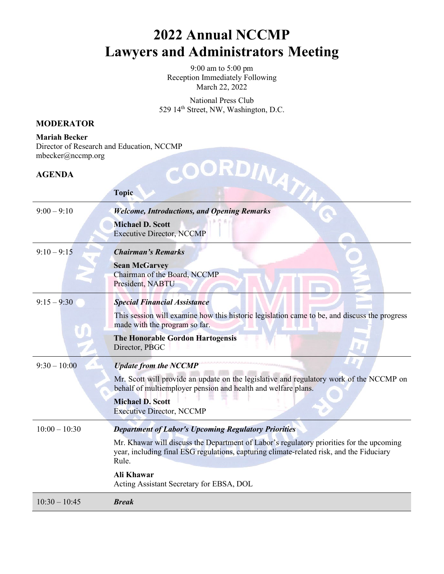9:00 am to 5:00 pm Reception Immediately Following March 22, 2022

National Press Club 529 14th Street, NW, Washington, D.C.

#### **MODERATOR**

**Mariah Becker** Director of Research and Education, NCCMP mbecker@nccmp.org

#### **AGENDA**

| $m$ becker $(a)$ nccmp.org |                                                                                                                                                                                               |
|----------------------------|-----------------------------------------------------------------------------------------------------------------------------------------------------------------------------------------------|
| <b>AGENDA</b>              |                                                                                                                                                                                               |
|                            | OCRDINATIO<br><b>Topic</b>                                                                                                                                                                    |
| $9:00 - 9:10$              | <b>Welcome, Introductions, and Opening Remarks</b>                                                                                                                                            |
|                            | <b>Michael D. Scott</b><br><b>Executive Director, NCCMP</b>                                                                                                                                   |
| $9:10 - 9:15$              | <b>Chairman's Remarks</b>                                                                                                                                                                     |
|                            | <b>Sean McGarvey</b><br>Chairman of the Board, NCCMP<br>President, NABTU                                                                                                                      |
| $9:15 - 9:30$              | <b>Special Financial Assistance</b>                                                                                                                                                           |
|                            | This session will examine how this historic legislation came to be, and discuss the progress<br>made with the program so far.                                                                 |
|                            | <b>The Honorable Gordon Hartogensis</b><br>Director, PBGC                                                                                                                                     |
| $9:30 - 10:00$             | <b>Update from the NCCMP</b>                                                                                                                                                                  |
|                            | Mr. Scott will provide an update on the legislative and regulatory work of the NCCMP on<br>behalf of multiemployer pension and health and welfare plans.                                      |
|                            | <b>Michael D. Scott</b><br><b>Executive Director, NCCMP</b>                                                                                                                                   |
| $10:00 - 10:30$            | <b>Department of Labor's Upcoming Regulatory Priorities</b>                                                                                                                                   |
|                            | Mr. Khawar will discuss the Department of Labor's regulatory priorities for the upcoming<br>year, including final ESG regulations, capturing climate-related risk, and the Fiduciary<br>Rule. |
|                            | <b>Ali Khawar</b><br>Acting Assistant Secretary for EBSA, DOL                                                                                                                                 |
| $10:30 - 10:45$            | <b>Break</b>                                                                                                                                                                                  |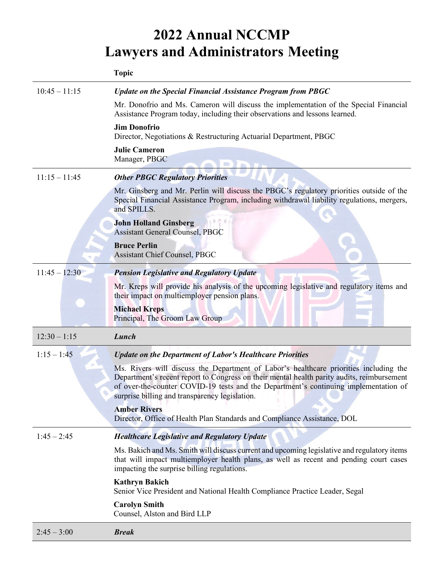|                 | <b>Topic</b>                                                                                                                                                                                                                                                                                                                  |
|-----------------|-------------------------------------------------------------------------------------------------------------------------------------------------------------------------------------------------------------------------------------------------------------------------------------------------------------------------------|
| $10:45 - 11:15$ | Update on the Special Financial Assistance Program from PBGC                                                                                                                                                                                                                                                                  |
|                 | Mr. Donofrio and Ms. Cameron will discuss the implementation of the Special Financial<br>Assistance Program today, including their observations and lessons learned.                                                                                                                                                          |
|                 | <b>Jim Donofrio</b><br>Director, Negotiations & Restructuring Actuarial Department, PBGC                                                                                                                                                                                                                                      |
|                 | <b>Julie Cameron</b><br>Manager, PBGC                                                                                                                                                                                                                                                                                         |
| $11:15 - 11:45$ | <b>Other PBGC Regulatory Priorities</b>                                                                                                                                                                                                                                                                                       |
|                 | Mr. Ginsberg and Mr. Perlin will discuss the PBGC's regulatory priorities outside of the<br>Special Financial Assistance Program, including withdrawal liability regulations, mergers,<br>and SPILLS.                                                                                                                         |
|                 | <b>John Holland Ginsberg</b><br><b>Assistant General Counsel, PBGC</b>                                                                                                                                                                                                                                                        |
|                 | <b>Bruce Perlin</b><br><b>Assistant Chief Counsel, PBGC</b>                                                                                                                                                                                                                                                                   |
| $11:45 - 12:30$ | <b>Pension Legislative and Regulatory Update</b>                                                                                                                                                                                                                                                                              |
|                 | Mr. Kreps will provide his analysis of the upcoming legislative and regulatory items and<br>their impact on multiemployer pension plans.                                                                                                                                                                                      |
|                 | <b>Michael Kreps</b><br>Principal, The Groom Law Group                                                                                                                                                                                                                                                                        |
| $12:30 - 1:15$  | Lunch                                                                                                                                                                                                                                                                                                                         |
| $1:15 - 1:45$   | <b>Update on the Department of Labor's Healthcare Priorities</b>                                                                                                                                                                                                                                                              |
|                 | Ms. Rivers will discuss the Department of Labor's healthcare priorities including the<br>Department's recent report to Congress on their mental health parity audits, reimbursement<br>of over-the-counter COVID-19 tests and the Department's continuing implementation of<br>surprise billing and transparency legislation. |
|                 | <b>Amber Rivers</b>                                                                                                                                                                                                                                                                                                           |
|                 | Director, Office of Health Plan Standards and Compliance Assistance, DOL                                                                                                                                                                                                                                                      |
| $1:45 - 2:45$   | <b>Healthcare Legislative and Regulatory Update</b>                                                                                                                                                                                                                                                                           |
|                 | Ms. Bakich and Ms. Smith will discuss current and upcoming legislative and regulatory items<br>that will impact multiemployer health plans, as well as recent and pending court cases<br>impacting the surprise billing regulations.                                                                                          |
|                 | <b>Kathryn Bakich</b><br>Senior Vice President and National Health Compliance Practice Leader, Segal                                                                                                                                                                                                                          |
|                 | <b>Carolyn Smith</b><br>Counsel, Alston and Bird LLP                                                                                                                                                                                                                                                                          |
| $2:45 - 3:00$   | <b>Break</b>                                                                                                                                                                                                                                                                                                                  |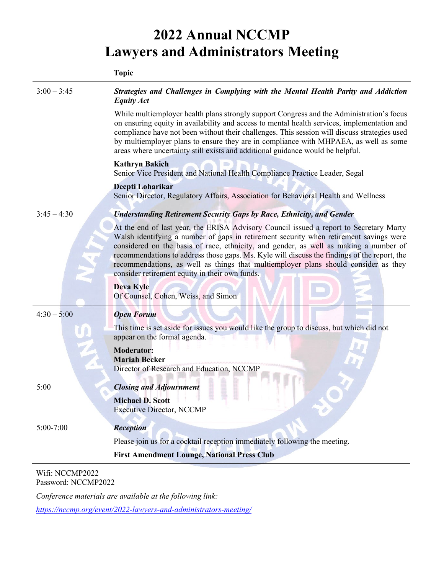|               | <b>Topic</b>                                                                                                                                                                                                                                                                                                                                                                                                                                                                                                                                                                  |
|---------------|-------------------------------------------------------------------------------------------------------------------------------------------------------------------------------------------------------------------------------------------------------------------------------------------------------------------------------------------------------------------------------------------------------------------------------------------------------------------------------------------------------------------------------------------------------------------------------|
| $3:00 - 3:45$ | Strategies and Challenges in Complying with the Mental Health Parity and Addiction<br><b>Equity Act</b>                                                                                                                                                                                                                                                                                                                                                                                                                                                                       |
|               | While multiemployer health plans strongly support Congress and the Administration's focus<br>on ensuring equity in availability and access to mental health services, implementation and<br>compliance have not been without their challenges. This session will discuss strategies used<br>by multiemployer plans to ensure they are in compliance with MHPAEA, as well as some<br>areas where uncertainty still exists and additional guidance would be helpful.                                                                                                            |
|               | <b>Kathryn Bakich</b><br>Senior Vice President and National Health Compliance Practice Leader, Segal                                                                                                                                                                                                                                                                                                                                                                                                                                                                          |
|               | Deepti Loharikar<br>Senior Director, Regulatory Affairs, Association for Behavioral Health and Wellness                                                                                                                                                                                                                                                                                                                                                                                                                                                                       |
| $3:45 - 4:30$ | <b>Understanding Retirement Security Gaps by Race, Ethnicity, and Gender</b>                                                                                                                                                                                                                                                                                                                                                                                                                                                                                                  |
|               | At the end of last year, the ERISA Advisory Council issued a report to Secretary Marty<br>Walsh identifying a number of gaps in retirement security when retirement savings were<br>considered on the basis of race, ethnicity, and gender, as well as making a number of<br>recommendations to address those gaps. Ms. Kyle will discuss the findings of the report, the<br>recommendations, as well as things that multiemployer plans should consider as they<br>consider retirement equity in their own funds.<br><b>Deva Kyle</b><br>Of Counsel, Cohen, Weiss, and Simon |
| $4:30 - 5:00$ | <b>Open Forum</b>                                                                                                                                                                                                                                                                                                                                                                                                                                                                                                                                                             |
|               | This time is set aside for issues you would like the group to discuss, but which did not<br>appear on the formal agenda.                                                                                                                                                                                                                                                                                                                                                                                                                                                      |
|               | <b>Moderator:</b><br><b>Mariah Becker</b><br>Director of Research and Education, NCCMP                                                                                                                                                                                                                                                                                                                                                                                                                                                                                        |
| 5:00          | <b>Closing and Adjournment</b>                                                                                                                                                                                                                                                                                                                                                                                                                                                                                                                                                |
|               | <b>Michael D. Scott</b><br><b>Executive Director, NCCMP</b>                                                                                                                                                                                                                                                                                                                                                                                                                                                                                                                   |
| $5:00 - 7:00$ | <b>Reception</b>                                                                                                                                                                                                                                                                                                                                                                                                                                                                                                                                                              |
|               | Please join us for a cocktail reception immediately following the meeting.                                                                                                                                                                                                                                                                                                                                                                                                                                                                                                    |
|               | <b>First Amendment Lounge, National Press Club</b>                                                                                                                                                                                                                                                                                                                                                                                                                                                                                                                            |

Wifi: NCCMP2022 Password: NCCMP2022

*Conference materials are available at the following link:* 

*<https://nccmp.org/event/2022-lawyers-and-administrators-meeting/>*